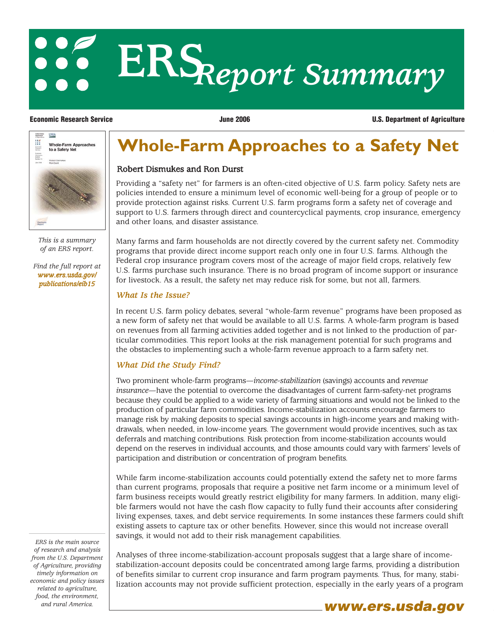# ERS *Report Summary*

**Linuxed States**<br>Department **USDA** Ш Whole-Farm Approaches<br>to a Safety Net **Ricorden** 

> *This is a summary of an ERS report.*

*[Find the full report at](/publications/eib15/) www.ers.usda.gov/ publications/eib15*

**Economic Research Service June 2006 U.S. Department of Agriculture**

## **Whole-Farm Approaches to a Safety Net**

#### Robert Dismukes and Ron Durst

Providing a "safety net" for farmers is an often-cited objective of U.S. farm policy. Safety nets are policies intended to ensure a minimum level of economic well-being for a group of people or to provide protection against risks. Current U.S. farm programs form a safety net of coverage and support to U.S. farmers through direct and countercyclical payments, crop insurance, emergency and other loans, and disaster assistance.

Many farms and farm households are not directly covered by the current safety net. Commodity programs that provide direct income support reach only one in four U.S. farms. Although the Federal crop insurance program covers most of the acreage of major field crops, relatively few U.S. farms purchase such insurance. There is no broad program of income support or insurance for livestock. As a result, the safety net may reduce risk for some, but not all, farmers.

#### *What Is the Issue?*

In recent U.S. farm policy debates, several "whole-farm revenue" programs have been proposed as a new form of safety net that would be available to all U.S. farms. A whole-farm program is based on revenues from all farming activities added together and is not linked to the production of particular commodities. This report looks at the risk management potential for such programs and the obstacles to implementing such a whole-farm revenue approach to a farm safety net.

### *What Did the Study Find?*

Two prominent whole-farm programs—*income-stabilization* (savings) accounts and *revenue insurance*—have the potential to overcome the disadvantages of current farm-safety-net programs because they could be applied to a wide variety of farming situations and would not be linked to the production of particular farm commodities. Income-stabilization accounts encourage farmers to manage risk by making deposits to special savings accounts in high-income years and making withdrawals, when needed, in low-income years. The government would provide incentives, such as tax deferrals and matching contributions. Risk protection from income-stabilization accounts would depend on the reserves in individual accounts, and those amounts could vary with farmers' levels of participation and distribution or concentration of program benefits.

While farm income-stabilization accounts could potentially extend the safety net to more farms than current programs, proposals that require a positive net farm income or a minimum level of farm business receipts would greatly restrict eligibility for many farmers. In addition, many eligible farmers would not have the cash flow capacity to fully fund their accounts after considering living expenses, taxes, and debt service requirements. In some instances these farmers could shift existing assets to capture tax or other benefits. However, since this would not increase overall savings, it would not add to their risk management capabilities.

*ERS is the main source of research and analysis from the U.S. Department of Agriculture, providing timely information on economic and policy issues related to agriculture, food, the environment,*

Analyses of three income-stabilization-account proposals suggest that a large share of incomestabilization-account deposits could be concentrated among large farms, providing a distribution of benefits similar to current crop insurance and farm program payments. Thus, for many, stabilization accounts may not provide sufficient protection, especially in the early years of a program



and rural America. **www.ers.usda.gov**